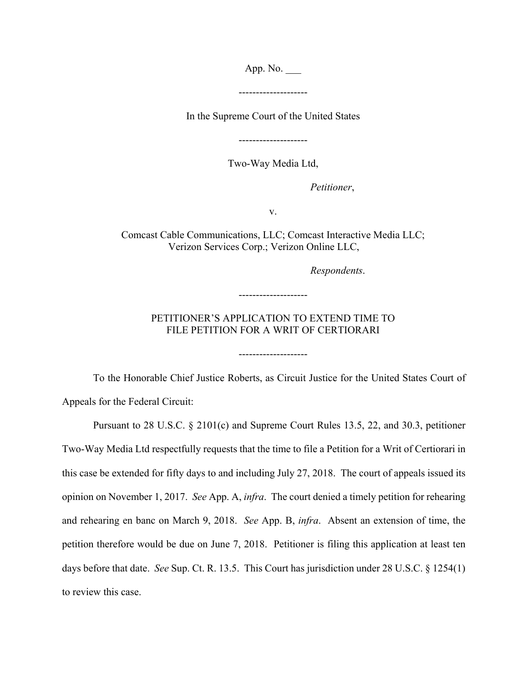App. No.

--------------------

In the Supreme Court of the United States

--------------------

Two-Way Media Ltd,

 *Petitioner*,

v.

Comcast Cable Communications, LLC; Comcast Interactive Media LLC; Verizon Services Corp.; Verizon Online LLC,

 *Respondents*.

## PETITIONER'S APPLICATION TO EXTEND TIME TO FILE PETITION FOR A WRIT OF CERTIORARI

--------------------

--------------------

To the Honorable Chief Justice Roberts, as Circuit Justice for the United States Court of Appeals for the Federal Circuit:

Pursuant to 28 U.S.C. § 2101(c) and Supreme Court Rules 13.5, 22, and 30.3, petitioner Two-Way Media Ltd respectfully requests that the time to file a Petition for a Writ of Certiorari in this case be extended for fifty days to and including July 27, 2018. The court of appeals issued its opinion on November 1, 2017. *See* App. A, *infra*. The court denied a timely petition for rehearing and rehearing en banc on March 9, 2018. *See* App. B, *infra*. Absent an extension of time, the petition therefore would be due on June 7, 2018. Petitioner is filing this application at least ten days before that date. *See* Sup. Ct. R. 13.5. This Court has jurisdiction under 28 U.S.C. § 1254(1) to review this case.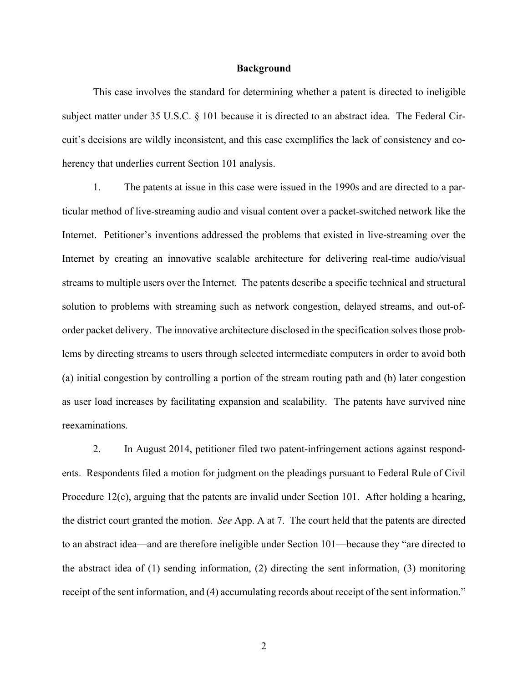## **Background**

This case involves the standard for determining whether a patent is directed to ineligible subject matter under 35 U.S.C. § 101 because it is directed to an abstract idea. The Federal Circuit's decisions are wildly inconsistent, and this case exemplifies the lack of consistency and coherency that underlies current Section 101 analysis.

1. The patents at issue in this case were issued in the 1990s and are directed to a particular method of live-streaming audio and visual content over a packet-switched network like the Internet. Petitioner's inventions addressed the problems that existed in live-streaming over the Internet by creating an innovative scalable architecture for delivering real-time audio/visual streams to multiple users over the Internet. The patents describe a specific technical and structural solution to problems with streaming such as network congestion, delayed streams, and out-oforder packet delivery. The innovative architecture disclosed in the specification solves those problems by directing streams to users through selected intermediate computers in order to avoid both (a) initial congestion by controlling a portion of the stream routing path and (b) later congestion as user load increases by facilitating expansion and scalability. The patents have survived nine reexaminations.

2. In August 2014, petitioner filed two patent-infringement actions against respondents. Respondents filed a motion for judgment on the pleadings pursuant to Federal Rule of Civil Procedure 12(c), arguing that the patents are invalid under Section 101. After holding a hearing, the district court granted the motion. *See* App. A at 7. The court held that the patents are directed to an abstract idea—and are therefore ineligible under Section 101—because they "are directed to the abstract idea of (1) sending information, (2) directing the sent information, (3) monitoring receipt of the sent information, and (4) accumulating records about receipt of the sent information."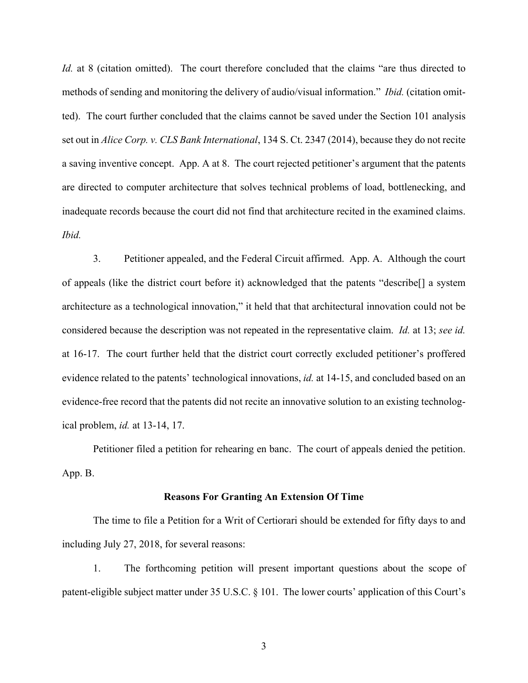*Id.* at 8 (citation omitted). The court therefore concluded that the claims "are thus directed to methods of sending and monitoring the delivery of audio/visual information." *Ibid.* (citation omitted). The court further concluded that the claims cannot be saved under the Section 101 analysis set out in *Alice Corp. v. CLS Bank International*, 134 S. Ct. 2347 (2014), because they do not recite a saving inventive concept. App. A at 8. The court rejected petitioner's argument that the patents are directed to computer architecture that solves technical problems of load, bottlenecking, and inadequate records because the court did not find that architecture recited in the examined claims. *Ibid.* 

3. Petitioner appealed, and the Federal Circuit affirmed. App. A. Although the court of appeals (like the district court before it) acknowledged that the patents "describe[] a system architecture as a technological innovation," it held that that architectural innovation could not be considered because the description was not repeated in the representative claim. *Id.* at 13; *see id.* at 16-17. The court further held that the district court correctly excluded petitioner's proffered evidence related to the patents' technological innovations, *id.* at 14-15, and concluded based on an evidence-free record that the patents did not recite an innovative solution to an existing technological problem, *id.* at 13-14, 17.

Petitioner filed a petition for rehearing en banc. The court of appeals denied the petition. App. B.

## **Reasons For Granting An Extension Of Time**

The time to file a Petition for a Writ of Certiorari should be extended for fifty days to and including July 27, 2018, for several reasons:

1. The forthcoming petition will present important questions about the scope of patent-eligible subject matter under 35 U.S.C. § 101. The lower courts' application of this Court's

3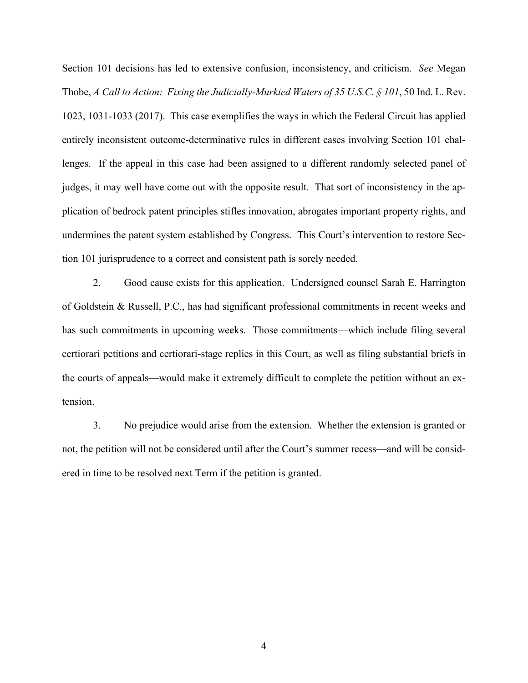Section 101 decisions has led to extensive confusion, inconsistency, and criticism. *See* Megan Thobe, *A Call to Action: Fixing the Judicially-Murkied Waters of 35 U.S.C. § 101*, 50 Ind. L. Rev. 1023, 1031-1033 (2017). This case exemplifies the ways in which the Federal Circuit has applied entirely inconsistent outcome-determinative rules in different cases involving Section 101 challenges. If the appeal in this case had been assigned to a different randomly selected panel of judges, it may well have come out with the opposite result. That sort of inconsistency in the application of bedrock patent principles stifles innovation, abrogates important property rights, and undermines the patent system established by Congress. This Court's intervention to restore Section 101 jurisprudence to a correct and consistent path is sorely needed.

2. Good cause exists for this application. Undersigned counsel Sarah E. Harrington of Goldstein & Russell, P.C., has had significant professional commitments in recent weeks and has such commitments in upcoming weeks. Those commitments—which include filing several certiorari petitions and certiorari-stage replies in this Court, as well as filing substantial briefs in the courts of appeals—would make it extremely difficult to complete the petition without an extension.

3. No prejudice would arise from the extension. Whether the extension is granted or not, the petition will not be considered until after the Court's summer recess—and will be considered in time to be resolved next Term if the petition is granted.

4